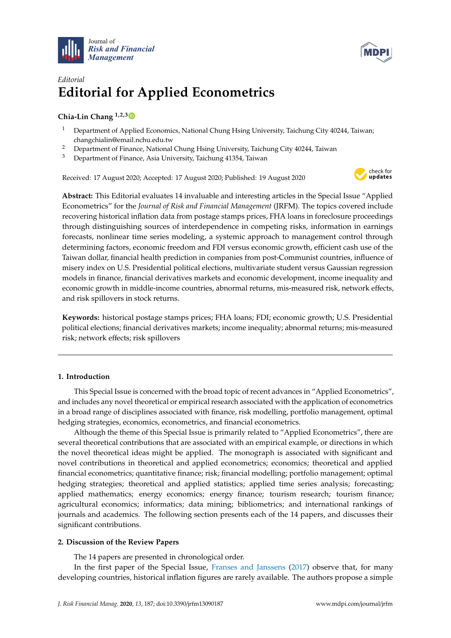



# *Editorial* **Editorial for Applied Econometrics**

## **Chia-Lin Chang 1,2,[3](https://orcid.org/0000-0001-8835-760X)**

- <sup>1</sup> Department of Applied Economics, National Chung Hsing University, Taichung City 40244, Taiwan; changchialin@email.nchu.edu.tw
- <sup>2</sup> Department of Finance, National Chung Hsing University, Taichung City 40244, Taiwan
- <sup>3</sup> Department of Finance, Asia University, Taichung 41354, Taiwan

Received: 17 August 2020; Accepted: 17 August 2020; Published: 19 August 2020



**Abstract:** This Editorial evaluates 14 invaluable and interesting articles in the Special Issue "Applied Econometrics" for the *Journal of Risk and Financial Management* (JRFM). The topics covered include recovering historical inflation data from postage stamps prices, FHA loans in foreclosure proceedings through distinguishing sources of interdependence in competing risks, information in earnings forecasts, nonlinear time series modeling, a systemic approach to management control through determining factors, economic freedom and FDI versus economic growth, efficient cash use of the Taiwan dollar, financial health prediction in companies from post-Communist countries, influence of misery index on U.S. Presidential political elections, multivariate student versus Gaussian regression models in finance, financial derivatives markets and economic development, income inequality and economic growth in middle-income countries, abnormal returns, mis-measured risk, network effects, and risk spillovers in stock returns.

**Keywords:** historical postage stamps prices; FHA loans; FDI; economic growth; U.S. Presidential political elections; financial derivatives markets; income inequality; abnormal returns; mis-measured risk; network effects; risk spillovers

### **1. Introduction**

This Special Issue is concerned with the broad topic of recent advances in "Applied Econometrics", and includes any novel theoretical or empirical research associated with the application of econometrics in a broad range of disciplines associated with finance, risk modelling, portfolio management, optimal hedging strategies, economics, econometrics, and financial econometrics.

Although the theme of this Special Issue is primarily related to "Applied Econometrics", there are several theoretical contributions that are associated with an empirical example, or directions in which the novel theoretical ideas might be applied. The monograph is associated with significant and novel contributions in theoretical and applied econometrics; economics; theoretical and applied financial econometrics; quantitative finance; risk; financial modelling; portfolio management; optimal hedging strategies; theoretical and applied statistics; applied time series analysis; forecasting; applied mathematics; energy economics; energy finance; tourism research; tourism finance; agricultural economics; informatics; data mining; bibliometrics; and international rankings of journals and academics. The following section presents each of the 14 papers, and discusses their significant contributions.

### **2. Discussion of the Review Papers**

The 14 papers are presented in chronological order.

In the first paper of the Special Issue, [Franses and Janssens](#page-4-0) [\(2017\)](#page-4-0) observe that, for many developing countries, historical inflation figures are rarely available. The authors propose a simple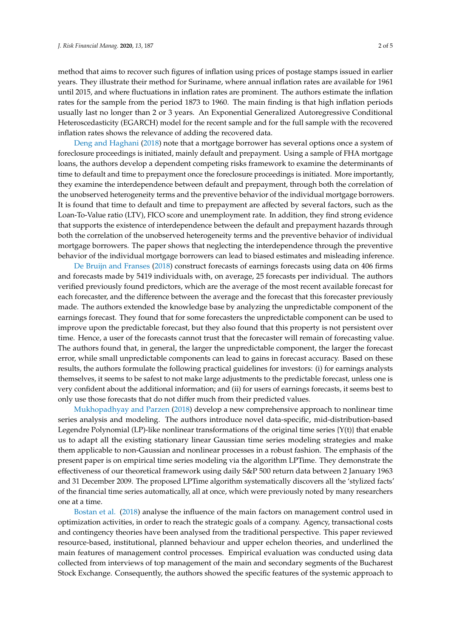method that aims to recover such figures of inflation using prices of postage stamps issued in earlier years. They illustrate their method for Suriname, where annual inflation rates are available for 1961 until 2015, and where fluctuations in inflation rates are prominent. The authors estimate the inflation rates for the sample from the period 1873 to 1960. The main finding is that high inflation periods usually last no longer than 2 or 3 years. An Exponential Generalized Autoregressive Conditional Heteroscedasticity (EGARCH) model for the recent sample and for the full sample with the recovered inflation rates shows the relevance of adding the recovered data.

[Deng and Haghani](#page-4-1) [\(2018\)](#page-4-1) note that a mortgage borrower has several options once a system of foreclosure proceedings is initiated, mainly default and prepayment. Using a sample of FHA mortgage loans, the authors develop a dependent competing risks framework to examine the determinants of time to default and time to prepayment once the foreclosure proceedings is initiated. More importantly, they examine the interdependence between default and prepayment, through both the correlation of the unobserved heterogeneity terms and the preventive behavior of the individual mortgage borrowers. It is found that time to default and time to prepayment are affected by several factors, such as the Loan-To-Value ratio (LTV), FICO score and unemployment rate. In addition, they find strong evidence that supports the existence of interdependence between the default and prepayment hazards through both the correlation of the unobserved heterogeneity terms and the preventive behavior of individual mortgage borrowers. The paper shows that neglecting the interdependence through the preventive behavior of the individual mortgage borrowers can lead to biased estimates and misleading inference.

[De Bruijn and Franses](#page-4-2) [\(2018\)](#page-4-2) construct forecasts of earnings forecasts using data on 406 firms and forecasts made by 5419 individuals with, on average, 25 forecasts per individual. The authors verified previously found predictors, which are the average of the most recent available forecast for each forecaster, and the difference between the average and the forecast that this forecaster previously made. The authors extended the knowledge base by analyzing the unpredictable component of the earnings forecast. They found that for some forecasters the unpredictable component can be used to improve upon the predictable forecast, but they also found that this property is not persistent over time. Hence, a user of the forecasts cannot trust that the forecaster will remain of forecasting value. The authors found that, in general, the larger the unpredictable component, the larger the forecast error, while small unpredictable components can lead to gains in forecast accuracy. Based on these results, the authors formulate the following practical guidelines for investors: (i) for earnings analysts themselves, it seems to be safest to not make large adjustments to the predictable forecast, unless one is very confident about the additional information; and (ii) for users of earnings forecasts, it seems best to only use those forecasts that do not differ much from their predicted values.

[Mukhopadhyay and Parzen](#page-4-3) [\(2018\)](#page-4-3) develop a new comprehensive approach to nonlinear time series analysis and modeling. The authors introduce novel data-specific, mid-distribution-based Legendre Polynomial (LP)-like nonlinear transformations of the original time series  ${Y(t)}$  that enable us to adapt all the existing stationary linear Gaussian time series modeling strategies and make them applicable to non-Gaussian and nonlinear processes in a robust fashion. The emphasis of the present paper is on empirical time series modeling via the algorithm LPTime. They demonstrate the effectiveness of our theoretical framework using daily S&P 500 return data between 2 January 1963 and 31 December 2009. The proposed LPTime algorithm systematically discovers all the 'stylized facts' of the financial time series automatically, all at once, which were previously noted by many researchers one at a time.

[Bostan et al.](#page-4-4) [\(2018\)](#page-4-4) analyse the influence of the main factors on management control used in optimization activities, in order to reach the strategic goals of a company. Agency, transactional costs and contingency theories have been analysed from the traditional perspective. This paper reviewed resource-based, institutional, planned behaviour and upper echelon theories, and underlined the main features of management control processes. Empirical evaluation was conducted using data collected from interviews of top management of the main and secondary segments of the Bucharest Stock Exchange. Consequently, the authors showed the specific features of the systemic approach to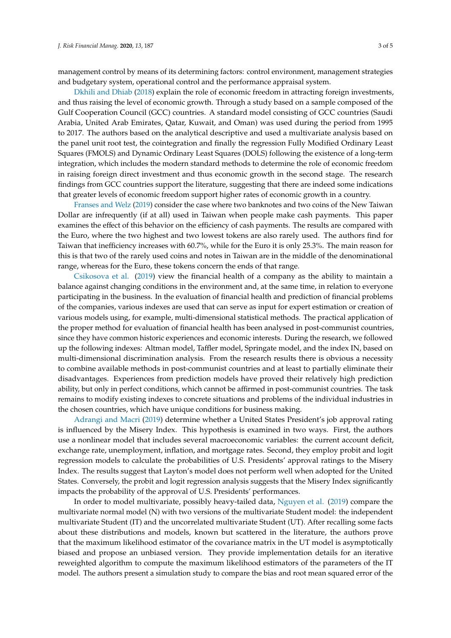management control by means of its determining factors: control environment, management strategies and budgetary system, operational control and the performance appraisal system.

[Dkhili and Dhiab](#page-4-5) [\(2018\)](#page-4-5) explain the role of economic freedom in attracting foreign investments, and thus raising the level of economic growth. Through a study based on a sample composed of the Gulf Cooperation Council (GCC) countries. A standard model consisting of GCC countries (Saudi Arabia, United Arab Emirates, Qatar, Kuwait, and Oman) was used during the period from 1995 to 2017. The authors based on the analytical descriptive and used a multivariate analysis based on the panel unit root test, the cointegration and finally the regression Fully Modified Ordinary Least Squares (FMOLS) and Dynamic Ordinary Least Squares (DOLS) following the existence of a long-term integration, which includes the modern standard methods to determine the role of economic freedom in raising foreign direct investment and thus economic growth in the second stage. The research findings from GCC countries support the literature, suggesting that there are indeed some indications that greater levels of economic freedom support higher rates of economic growth in a country.

[Franses and Welz](#page-4-6) [\(2019\)](#page-4-6) consider the case where two banknotes and two coins of the New Taiwan Dollar are infrequently (if at all) used in Taiwan when people make cash payments. This paper examines the effect of this behavior on the efficiency of cash payments. The results are compared with the Euro, where the two highest and two lowest tokens are also rarely used. The authors find for Taiwan that inefficiency increases with 60.7%, while for the Euro it is only 25.3%. The main reason for this is that two of the rarely used coins and notes in Taiwan are in the middle of the denominational range, whereas for the Euro, these tokens concern the ends of that range.

[Csikosova et al.](#page-4-7) [\(2019\)](#page-4-7) view the financial health of a company as the ability to maintain a balance against changing conditions in the environment and, at the same time, in relation to everyone participating in the business. In the evaluation of financial health and prediction of financial problems of the companies, various indexes are used that can serve as input for expert estimation or creation of various models using, for example, multi-dimensional statistical methods. The practical application of the proper method for evaluation of financial health has been analysed in post-communist countries, since they have common historic experiences and economic interests. During the research, we followed up the following indexes: Altman model, Taffler model, Springate model, and the index IN, based on multi-dimensional discrimination analysis. From the research results there is obvious a necessity to combine available methods in post-communist countries and at least to partially eliminate their disadvantages. Experiences from prediction models have proved their relatively high prediction ability, but only in perfect conditions, which cannot be affirmed in post-communist countries. The task remains to modify existing indexes to concrete situations and problems of the individual industries in the chosen countries, which have unique conditions for business making.

[Adrangi and Macri](#page-4-8) [\(2019\)](#page-4-8) determine whether a United States President's job approval rating is influenced by the Misery Index. This hypothesis is examined in two ways. First, the authors use a nonlinear model that includes several macroeconomic variables: the current account deficit, exchange rate, unemployment, inflation, and mortgage rates. Second, they employ probit and logit regression models to calculate the probabilities of U.S. Presidents' approval ratings to the Misery Index. The results suggest that Layton's model does not perform well when adopted for the United States. Conversely, the probit and logit regression analysis suggests that the Misery Index significantly impacts the probability of the approval of U.S. Presidents' performances.

In order to model multivariate, possibly heavy-tailed data, [Nguyen et al.](#page-4-9) [\(2019\)](#page-4-9) compare the multivariate normal model (N) with two versions of the multivariate Student model: the independent multivariate Student (IT) and the uncorrelated multivariate Student (UT). After recalling some facts about these distributions and models, known but scattered in the literature, the authors prove that the maximum likelihood estimator of the covariance matrix in the UT model is asymptotically biased and propose an unbiased version. They provide implementation details for an iterative reweighted algorithm to compute the maximum likelihood estimators of the parameters of the IT model. The authors present a simulation study to compare the bias and root mean squared error of the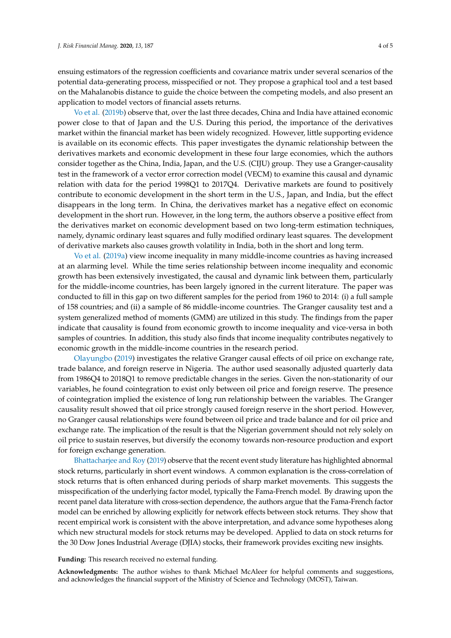ensuing estimators of the regression coefficients and covariance matrix under several scenarios of the potential data-generating process, misspecified or not. They propose a graphical tool and a test based on the Mahalanobis distance to guide the choice between the competing models, and also present an application to model vectors of financial assets returns.

[Vo et al.](#page-4-10) [\(2019b\)](#page-4-10) observe that, over the last three decades, China and India have attained economic power close to that of Japan and the U.S. During this period, the importance of the derivatives market within the financial market has been widely recognized. However, little supporting evidence is available on its economic effects. This paper investigates the dynamic relationship between the derivatives markets and economic development in these four large economies, which the authors consider together as the China, India, Japan, and the U.S. (CIJU) group. They use a Granger-causality test in the framework of a vector error correction model (VECM) to examine this causal and dynamic relation with data for the period 1998Q1 to 2017Q4. Derivative markets are found to positively contribute to economic development in the short term in the U.S., Japan, and India, but the effect disappears in the long term. In China, the derivatives market has a negative effect on economic development in the short run. However, in the long term, the authors observe a positive effect from the derivatives market on economic development based on two long-term estimation techniques, namely, dynamic ordinary least squares and fully modified ordinary least squares. The development of derivative markets also causes growth volatility in India, both in the short and long term.

[Vo et al.](#page-4-11) [\(2019a\)](#page-4-11) view income inequality in many middle-income countries as having increased at an alarming level. While the time series relationship between income inequality and economic growth has been extensively investigated, the causal and dynamic link between them, particularly for the middle-income countries, has been largely ignored in the current literature. The paper was conducted to fill in this gap on two different samples for the period from 1960 to 2014: (i) a full sample of 158 countries; and (ii) a sample of 86 middle-income countries. The Granger causality test and a system generalized method of moments (GMM) are utilized in this study. The findings from the paper indicate that causality is found from economic growth to income inequality and vice-versa in both samples of countries. In addition, this study also finds that income inequality contributes negatively to economic growth in the middle-income countries in the research period.

[Olayungbo](#page-4-12) [\(2019\)](#page-4-12) investigates the relative Granger causal effects of oil price on exchange rate, trade balance, and foreign reserve in Nigeria. The author used seasonally adjusted quarterly data from 1986Q4 to 2018Q1 to remove predictable changes in the series. Given the non-stationarity of our variables, he found cointegration to exist only between oil price and foreign reserve. The presence of cointegration implied the existence of long run relationship between the variables. The Granger causality result showed that oil price strongly caused foreign reserve in the short period. However, no Granger causal relationships were found between oil price and trade balance and for oil price and exchange rate. The implication of the result is that the Nigerian government should not rely solely on oil price to sustain reserves, but diversify the economy towards non-resource production and export for foreign exchange generation.

[Bhattacharjee and Roy](#page-4-13) [\(2019\)](#page-4-13) observe that the recent event study literature has highlighted abnormal stock returns, particularly in short event windows. A common explanation is the cross-correlation of stock returns that is often enhanced during periods of sharp market movements. This suggests the misspecification of the underlying factor model, typically the Fama-French model. By drawing upon the recent panel data literature with cross-section dependence, the authors argue that the Fama-French factor model can be enriched by allowing explicitly for network effects between stock returns. They show that recent empirical work is consistent with the above interpretation, and advance some hypotheses along which new structural models for stock returns may be developed. Applied to data on stock returns for the 30 Dow Jones Industrial Average (DJIA) stocks, their framework provides exciting new insights.

**Funding:** This research received no external funding.

**Acknowledgments:** The author wishes to thank Michael McAleer for helpful comments and suggestions, and acknowledges the financial support of the Ministry of Science and Technology (MOST), Taiwan.